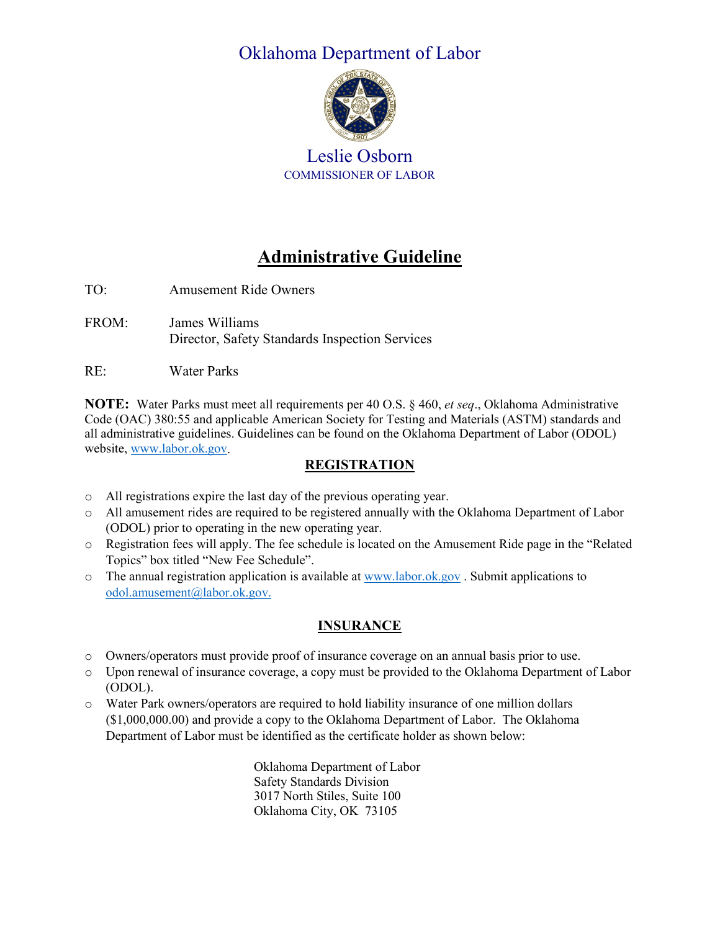# Oklahoma Department of Labor



Leslie Osborn COMMISSIONER OF LABOR

# **Administrative Guideline**

- TO: Amusement Ride Owners
- FROM: James Williams Director, Safety Standards Inspection Services
- RE: Water Parks

**NOTE:** Water Parks must meet all requirements per 40 O.S. § 460, *et seq*., Oklahoma Administrative Code (OAC) 380:55 and applicable American Society for Testing and Materials (ASTM) standards and all administrative guidelines. Guidelines can be found on the Oklahoma Department of Labor (ODOL) website, [www.labor.ok.gov.](http://www.labor.ok.gov/)

### **REGISTRATION**

- o All registrations expire the last day of the previous operating year.
- o All amusement rides are required to be registered annually with the Oklahoma Department of Labor (ODOL) prior to operating in the new operating year.
- o Registration fees will apply. The fee schedule is located on the Amusement Ride page in the "Related Topics" box titled "New Fee Schedule".
- $\circ$  The annual registration application is available a[t www.labor.ok.gov](http://www.labor.ok.gov/). Submit applications to [odol.amusement@labor.ok.gov.](mailto:odol.amusement@labor.ok.gov)

# **INSURANCE**

- o Owners/operators must provide proof of insurance coverage on an annual basis prior to use.
- o Upon renewal of insurance coverage, a copy must be provided to the Oklahoma Department of Labor (ODOL).
- o Water Park owners/operators are required to hold liability insurance of one million dollars (\$1,000,000.00) and provide a copy to the Oklahoma Department of Labor. The Oklahoma Department of Labor must be identified as the certificate holder as shown below:

Oklahoma Department of Labor Safety Standards Division 3017 North Stiles, Suite 100 Oklahoma City, OK 73105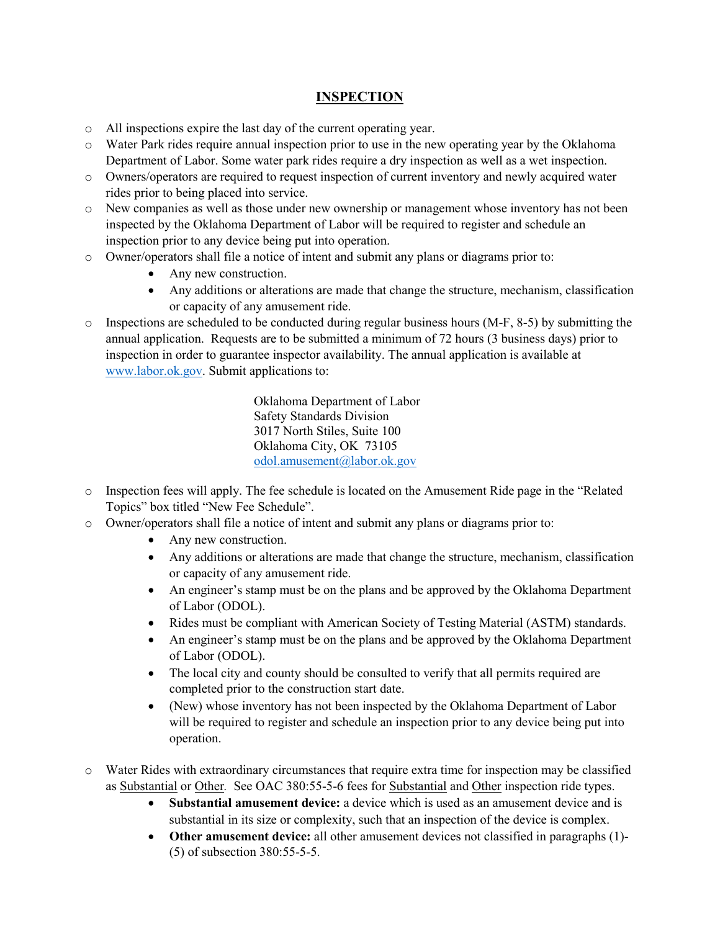#### **INSPECTION**

- o All inspections expire the last day of the current operating year.
- o Water Park rides require annual inspection prior to use in the new operating year by the Oklahoma Department of Labor. Some water park rides require a dry inspection as well as a wet inspection.
- o Owners/operators are required to request inspection of current inventory and newly acquired water rides prior to being placed into service.
- o New companies as well as those under new ownership or management whose inventory has not been inspected by the Oklahoma Department of Labor will be required to register and schedule an inspection prior to any device being put into operation.
- o Owner/operators shall file a notice of intent and submit any plans or diagrams prior to:
	- Any new construction.
	- Any additions or alterations are made that change the structure, mechanism, classification or capacity of any amusement ride.
- $\circ$  Inspections are scheduled to be conducted during regular business hours (M-F, 8-5) by submitting the annual application. Requests are to be submitted a minimum of 72 hours (3 business days) prior to inspection in order to guarantee inspector availability. The annual application is available at [www.labor.ok.gov.](http://www.labor.ok.gov/) Submit applications to:

Oklahoma Department of Labor Safety Standards Division 3017 North Stiles, Suite 100 Oklahoma City, OK 73105 [odol.amusement@labor.ok.gov](mailto:odol.amusement@labor.ok.gov)

- o Inspection fees will apply. The fee schedule is located on the Amusement Ride page in the "Related Topics" box titled "New Fee Schedule".
- o Owner/operators shall file a notice of intent and submit any plans or diagrams prior to:
	- Any new construction.
	- Any additions or alterations are made that change the structure, mechanism, classification or capacity of any amusement ride.
	- An engineer's stamp must be on the plans and be approved by the Oklahoma Department of Labor (ODOL).
	- Rides must be compliant with American Society of Testing Material (ASTM) standards.
	- An engineer's stamp must be on the plans and be approved by the Oklahoma Department of Labor (ODOL).
	- The local city and county should be consulted to verify that all permits required are completed prior to the construction start date.
	- (New) whose inventory has not been inspected by the Oklahoma Department of Labor will be required to register and schedule an inspection prior to any device being put into operation.
- o Water Rides with extraordinary circumstances that require extra time for inspection may be classified as Substantial or Other*.* See OAC 380:55-5-6 fees for Substantial and Other inspection ride types.
	- **Substantial amusement device:** a device which is used as an amusement device and is substantial in its size or complexity, such that an inspection of the device is complex.
	- **Other amusement device:** all other amusement devices not classified in paragraphs (1)- (5) of subsection 380:55-5-5.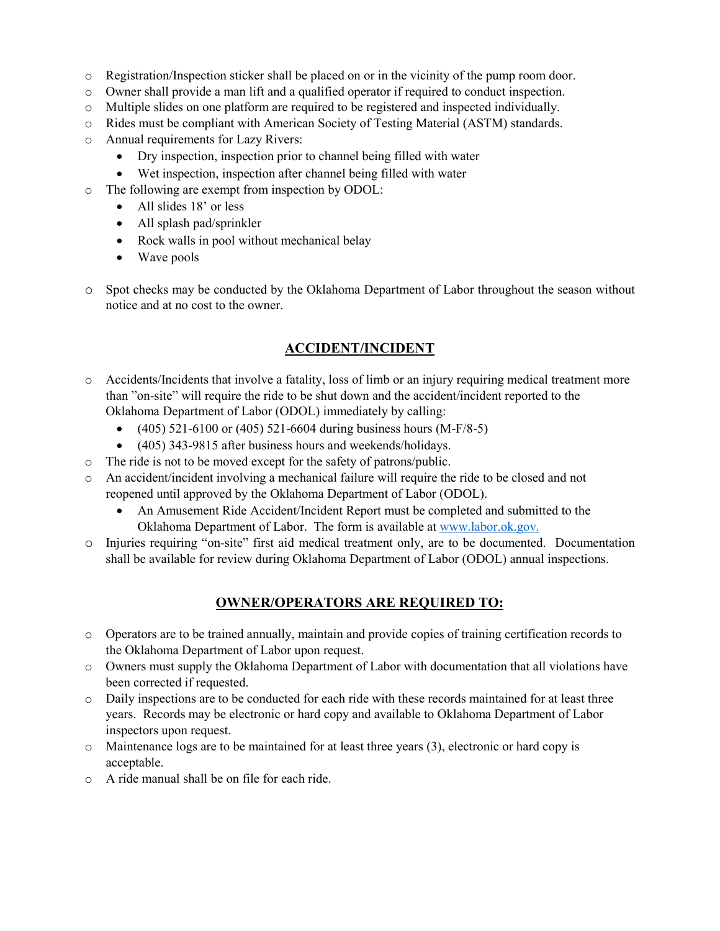- o Registration/Inspection sticker shall be placed on or in the vicinity of the pump room door.
- o Owner shall provide a man lift and a qualified operator if required to conduct inspection.
- o Multiple slides on one platform are required to be registered and inspected individually.
- o Rides must be compliant with American Society of Testing Material (ASTM) standards.
- o Annual requirements for Lazy Rivers:
	- Dry inspection, inspection prior to channel being filled with water
	- Wet inspection, inspection after channel being filled with water
- o The following are exempt from inspection by ODOL:
	- All slides 18' or less
	- All splash pad/sprinkler
	- Rock walls in pool without mechanical belay
	- Wave pools
- o Spot checks may be conducted by the Oklahoma Department of Labor throughout the season without notice and at no cost to the owner.

## **ACCIDENT/INCIDENT**

- o Accidents/Incidents that involve a fatality, loss of limb or an injury requiring medical treatment more than "on-site" will require the ride to be shut down and the accident/incident reported to the Oklahoma Department of Labor (ODOL) immediately by calling:
	- $(405)$  521-6100 or  $(405)$  521-6604 during business hours  $(M-F/8-5)$
	- (405) 343-9815 after business hours and weekends/holidays.
- o The ride is not to be moved except for the safety of patrons/public.
- o An accident/incident involving a mechanical failure will require the ride to be closed and not reopened until approved by the Oklahoma Department of Labor (ODOL).
	- An Amusement Ride Accident/Incident Report must be completed and submitted to the Oklahoma Department of Labor. The form is available at [www.labor.ok.gov.](http://www.labor.ok.gov/)
- o Injuries requiring "on-site" first aid medical treatment only, are to be documented. Documentation shall be available for review during Oklahoma Department of Labor (ODOL) annual inspections.

#### **OWNER/OPERATORS ARE REQUIRED TO:**

- o Operators are to be trained annually, maintain and provide copies of training certification records to the Oklahoma Department of Labor upon request.
- o Owners must supply the Oklahoma Department of Labor with documentation that all violations have been corrected if requested.
- o Daily inspections are to be conducted for each ride with these records maintained for at least three years. Records may be electronic or hard copy and available to Oklahoma Department of Labor inspectors upon request.
- $\circ$  Maintenance logs are to be maintained for at least three years (3), electronic or hard copy is acceptable.
- o A ride manual shall be on file for each ride.